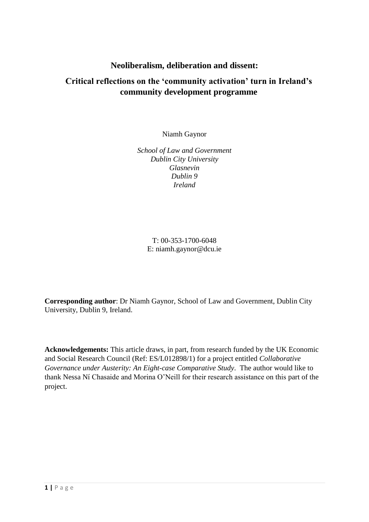# **Neoliberalism, deliberation and dissent:**

# **Critical reflections on the 'community activation' turn in Ireland's community development programme**

Niamh Gaynor

*School of Law and Government Dublin City University Glasnevin Dublin 9 Ireland*

T: 00-353-1700-6048 E: [niamh.gaynor@dcu.ie](mailto:niamh.gaynor@dcu.ie)

**Corresponding author**: Dr Niamh Gaynor, School of Law and Government, Dublin City University, Dublin 9, Ireland.

**Acknowledgements:** This article draws, in part, from research funded by the UK Economic and Social Research Council (Ref: ES/L012898/1) for a project entitled *Collaborative Governance under Austerity: An Eight-case Comparative Study*. The author would like to thank Nessa Ní Chasaide and Morina O'Neill for their research assistance on this part of the project.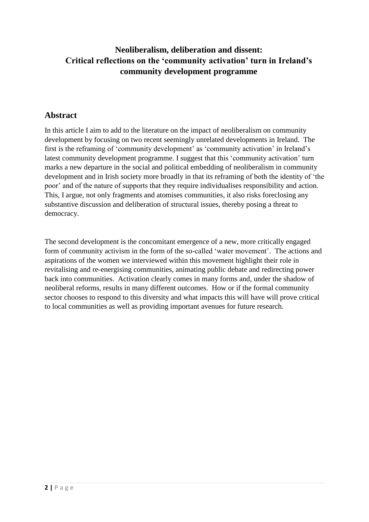# **Neoliberalism, deliberation and dissent: Critical reflections on the 'community activation' turn in Ireland's community development programme**

## **Abstract**

In this article I aim to add to the literature on the impact of neoliberalism on community development by focusing on two recent seemingly unrelated developments in Ireland. The first is the reframing of 'community development' as 'community activation' in Ireland's latest community development programme. I suggest that this 'community activation' turn marks a new departure in the social and political embedding of neoliberalism in community development and in Irish society more broadly in that its reframing of both the identity of 'the poor' and of the nature of supports that they require individualises responsibility and action. This, I argue, not only fragments and atomises communities, it also risks foreclosing any substantive discussion and deliberation of structural issues, thereby posing a threat to democracy.

The second development is the concomitant emergence of a new, more critically engaged form of community activism in the form of the so-called 'water movement'. The actions and aspirations of the women we interviewed within this movement highlight their role in revitalising and re-energising communities, animating public debate and redirecting power back into communities. Activation clearly comes in many forms and, under the shadow of neoliberal reforms, results in many different outcomes. How or if the formal community sector chooses to respond to this diversity and what impacts this will have will prove critical to local communities as well as providing important avenues for future research.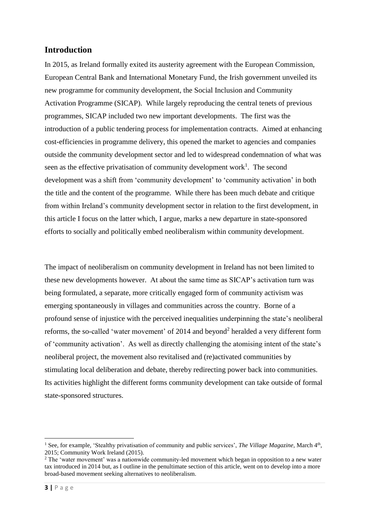### **Introduction**

In 2015, as Ireland formally exited its austerity agreement with the European Commission, European Central Bank and International Monetary Fund, the Irish government unveiled its new programme for community development, the Social Inclusion and Community Activation Programme (SICAP). While largely reproducing the central tenets of previous programmes, SICAP included two new important developments. The first was the introduction of a public tendering process for implementation contracts. Aimed at enhancing cost-efficiencies in programme delivery, this opened the market to agencies and companies outside the community development sector and led to widespread condemnation of what was seen as the effective privatisation of community development work<sup>1</sup>. The second development was a shift from 'community development' to 'community activation' in both the title and the content of the programme. While there has been much debate and critique from within Ireland's community development sector in relation to the first development, in this article I focus on the latter which, I argue, marks a new departure in state-sponsored efforts to socially and politically embed neoliberalism within community development.

The impact of neoliberalism on community development in Ireland has not been limited to these new developments however. At about the same time as SICAP's activation turn was being formulated, a separate, more critically engaged form of community activism was emerging spontaneously in villages and communities across the country. Borne of a profound sense of injustice with the perceived inequalities underpinning the state's neoliberal reforms, the so-called 'water movement' of 2014 and beyond<sup>2</sup> heralded a very different form of 'community activation'. As well as directly challenging the atomising intent of the state's neoliberal project, the movement also revitalised and (re)activated communities by stimulating local deliberation and debate, thereby redirecting power back into communities. Its activities highlight the different forms community development can take outside of formal state-sponsored structures.

**<sup>.</sup>** <sup>1</sup> See, for example, 'Stealthy privatisation of community and public services', *The Village Magazine*, March 4<sup>th</sup>, 2015; Community Work Ireland (2015).

<sup>&</sup>lt;sup>2</sup> The 'water movement' was a nationwide community-led movement which began in opposition to a new water tax introduced in 2014 but, as I outline in the penultimate section of this article, went on to develop into a more broad-based movement seeking alternatives to neoliberalism.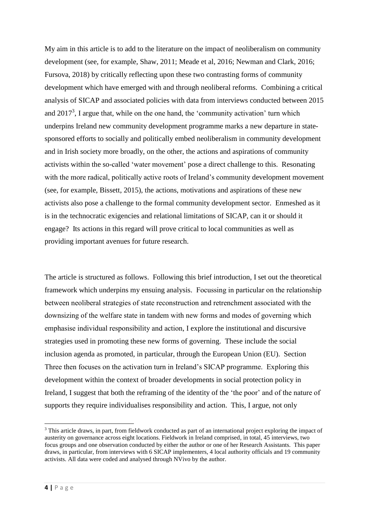My aim in this article is to add to the literature on the impact of neoliberalism on community development (see, for example, Shaw, 2011; Meade et al, 2016; Newman and Clark, 2016; Fursova, 2018) by critically reflecting upon these two contrasting forms of community development which have emerged with and through neoliberal reforms. Combining a critical analysis of SICAP and associated policies with data from interviews conducted between 2015 and  $2017<sup>3</sup>$ , I argue that, while on the one hand, the 'community activation' turn which underpins Ireland new community development programme marks a new departure in statesponsored efforts to socially and politically embed neoliberalism in community development and in Irish society more broadly, on the other, the actions and aspirations of community activists within the so-called 'water movement' pose a direct challenge to this. Resonating with the more radical, politically active roots of Ireland's community development movement (see, for example, Bissett, 2015), the actions, motivations and aspirations of these new activists also pose a challenge to the formal community development sector. Enmeshed as it is in the technocratic exigencies and relational limitations of SICAP, can it or should it engage? Its actions in this regard will prove critical to local communities as well as providing important avenues for future research.

The article is structured as follows. Following this brief introduction, I set out the theoretical framework which underpins my ensuing analysis. Focussing in particular on the relationship between neoliberal strategies of state reconstruction and retrenchment associated with the downsizing of the welfare state in tandem with new forms and modes of governing which emphasise individual responsibility and action, I explore the institutional and discursive strategies used in promoting these new forms of governing. These include the social inclusion agenda as promoted, in particular, through the European Union (EU). Section Three then focuses on the activation turn in Ireland's SICAP programme. Exploring this development within the context of broader developments in social protection policy in Ireland, I suggest that both the reframing of the identity of the 'the poor' and of the nature of supports they require individualises responsibility and action. This, I argue, not only

**.** 

<sup>&</sup>lt;sup>3</sup> This article draws, in part, from fieldwork conducted as part of an international project exploring the impact of austerity on governance across eight locations. Fieldwork in Ireland comprised, in total, 45 interviews, two focus groups and one observation conducted by either the author or one of her Research Assistants. This paper draws, in particular, from interviews with 6 SICAP implementers, 4 local authority officials and 19 community activists. All data were coded and analysed through NVivo by the author.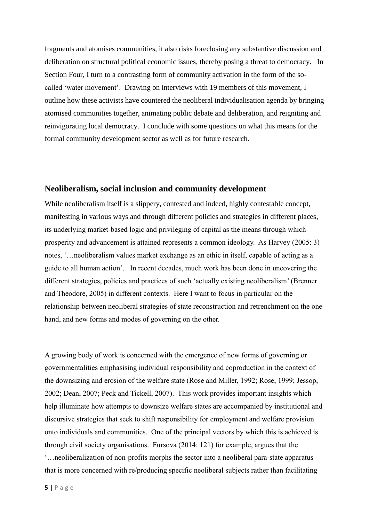fragments and atomises communities, it also risks foreclosing any substantive discussion and deliberation on structural political economic issues, thereby posing a threat to democracy. In Section Four, I turn to a contrasting form of community activation in the form of the socalled 'water movement'. Drawing on interviews with 19 members of this movement, I outline how these activists have countered the neoliberal individualisation agenda by bringing atomised communities together, animating public debate and deliberation, and reigniting and reinvigorating local democracy. I conclude with some questions on what this means for the formal community development sector as well as for future research.

#### **Neoliberalism, social inclusion and community development**

While neoliberalism itself is a slippery, contested and indeed, highly contestable concept, manifesting in various ways and through different policies and strategies in different places, its underlying market-based logic and privileging of capital as the means through which prosperity and advancement is attained represents a common ideology. As Harvey (2005: 3) notes, '…neoliberalism values market exchange as an ethic in itself, capable of acting as a guide to all human action'.In recent decades, much work has been done in uncovering the different strategies, policies and practices of such 'actually existing neoliberalism' (Brenner and Theodore, 2005) in different contexts. Here I want to focus in particular on the relationship between neoliberal strategies of state reconstruction and retrenchment on the one hand, and new forms and modes of governing on the other.

A growing body of work is concerned with the emergence of new forms of governing or governmentalities emphasising individual responsibility and coproduction in the context of the downsizing and erosion of the welfare state (Rose and Miller, 1992; Rose, 1999; Jessop, 2002; Dean, 2007; Peck and Tickell, 2007). This work provides important insights which help illuminate how attempts to downsize welfare states are accompanied by institutional and discursive strategies that seek to shift responsibility for employment and welfare provision onto individuals and communities. One of the principal vectors by which this is achieved is through civil society organisations. Fursova (2014: 121) for example, argues that the '…neoliberalization of non-profits morphs the sector into a neoliberal para-state apparatus that is more concerned with re/producing specific neoliberal subjects rather than facilitating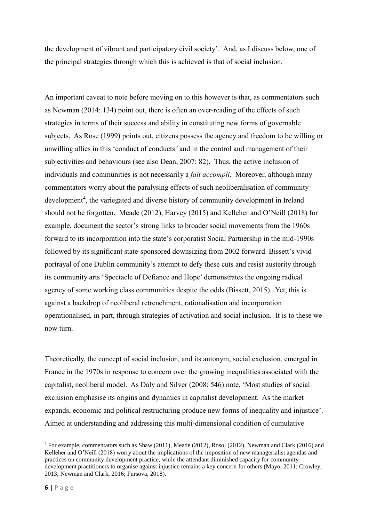the development of vibrant and participatory civil society'. And, as I discuss below, one of the principal strategies through which this is achieved is that of social inclusion.

An important caveat to note before moving on to this however is that, as commentators such as Newman (2014: 134) point out, there is often an over-reading of the effects of such strategies in terms of their success and ability in constituting new forms of governable subjects. As Rose (1999) points out, citizens possess the agency and freedom to be willing or unwilling allies in this 'conduct of conducts*'* and in the control and management of their subjectivities and behaviours (see also Dean, 2007: 82). Thus, the active inclusion of individuals and communities is not necessarily a *fait accompli*. Moreover, although many commentators worry about the paralysing effects of such neoliberalisation of community development<sup>4</sup>, the variegated and diverse history of community development in Ireland should not be forgotten. Meade (2012), Harvey (2015) and Kelleher and O'Neill (2018) for example, document the sector's strong links to broader social movements from the 1960s forward to its incorporation into the state's corporatist Social Partnership in the mid-1990s followed by its significant state-sponsored downsizing from 2002 forward. Bissett's vivid portrayal of one Dublin community's attempt to defy these cuts and resist austerity through its community arts 'Spectacle of Defiance and Hope' demonstrates the ongoing radical agency of some working class communities despite the odds (Bissett, 2015). Yet, this is against a backdrop of neoliberal retrenchment, rationalisation and incorporation operationalised, in part, through strategies of activation and social inclusion. It is to these we now turn.

Theoretically, the concept of social inclusion, and its antonym, social exclusion, emerged in France in the 1970s in response to concern over the growing inequalities associated with the capitalist, neoliberal model. As Daly and Silver (2008: 546) note, 'Most studies of social exclusion emphasise its origins and dynamics in capitalist development. As the market expands, economic and political restructuring produce new forms of inequality and injustice'. Aimed at understanding and addressing this multi-dimensional condition of cumulative

1

<sup>4</sup> For example, commentators such as Shaw (2011), Meade (2012), Rosol (2012), Newman and Clark (2016) and Kelleher and O'Neill (2018) worry about the implications of the imposition of new managerialist agendas and practices on community development practice, while the attendant diminished capacity for community development practitioners to organise against injustice remains a key concern for others (Mayo, 2011; Crowley, 2013; Newman and Clark, 2016; Fursova, 2018).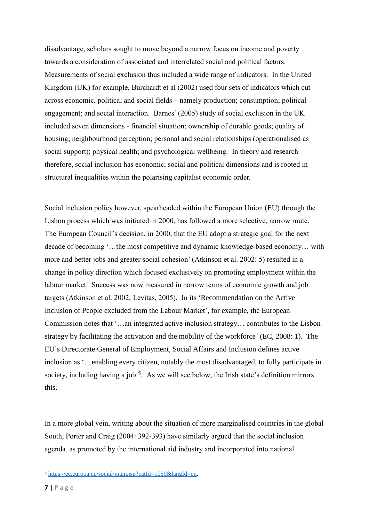disadvantage, scholars sought to move beyond a narrow focus on income and poverty towards a consideration of associated and interrelated social and political factors. Measurements of social exclusion thus included a wide range of indicators. In the United Kingdom (UK) for example, Burchardt et al (2002) used four sets of indicators which cut across economic, political and social fields – namely production; consumption; political engagement; and social interaction. Barnes' (2005) study of social exclusion in the UK included seven dimensions - financial situation; ownership of durable goods; quality of housing; neighbourhood perception; personal and social relationships (operationalised as social support); physical health; and psychological wellbeing. In theory and research therefore, social inclusion has economic, social and political dimensions and is rooted in structural inequalities within the polarising capitalist economic order.

Social inclusion policy however, spearheaded within the European Union (EU) through the Lisbon process which was initiated in 2000, has followed a more selective, narrow route. The European Council's decision, in 2000, that the EU adopt a strategic goal for the next decade of becoming '…the most competitive and dynamic knowledge-based economy… with more and better jobs and greater social cohesion' (Atkinson et al. 2002: 5) resulted in a change in policy direction which focused exclusively on promoting employment within the labour market. Success was now measured in narrow terms of economic growth and job targets (Atkinson et al. 2002; Levitas, 2005). In its 'Recommendation on the Active Inclusion of People excluded from the Labour Market', for example, the European Commission notes that '…an integrated active inclusion strategy… contributes to the Lisbon strategy by facilitating the activation and the mobility of the workforce*'* (EC, 2008: 1). The EU's Directorate General of Employment, Social Affairs and Inclusion defines active inclusion as '…enabling every citizen, notably the most disadvantaged, to fully participate in society, including having a job<sup>35</sup>. As we will see below, the Irish state's definition mirrors this.

In a more global vein, writing about the situation of more marginalised countries in the global South, Porter and Craig (2004: 392-393) have similarly argued that the social inclusion agenda, as promoted by the international aid industry and incorporated into national

**.** 

 $5 \text{ https://ec.europa.eu/social/main.isp?catId=1059&langId=en.}$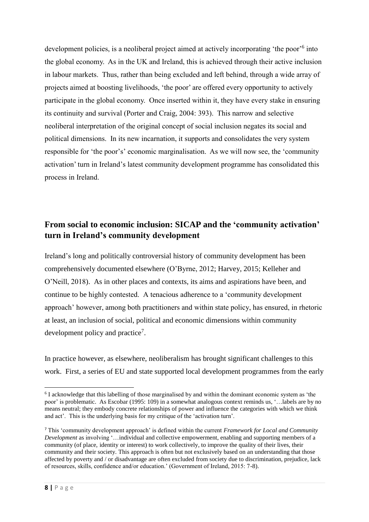development policies, is a neoliberal project aimed at actively incorporating 'the poor'<sup>6</sup> into the global economy. As in the UK and Ireland, this is achieved through their active inclusion in labour markets. Thus, rather than being excluded and left behind, through a wide array of projects aimed at boosting livelihoods, 'the poor' are offered every opportunity to actively participate in the global economy. Once inserted within it, they have every stake in ensuring its continuity and survival (Porter and Craig, 2004: 393). This narrow and selective neoliberal interpretation of the original concept of social inclusion negates its social and political dimensions. In its new incarnation, it supports and consolidates the very system responsible for 'the poor's' economic marginalisation. As we will now see, the 'community activation' turn in Ireland's latest community development programme has consolidated this process in Ireland.

# **From social to economic inclusion: SICAP and the 'community activation' turn in Ireland's community development**

Ireland's long and politically controversial history of community development has been comprehensively documented elsewhere (O'Byrne, 2012; Harvey, 2015; Kelleher and O'Neill, 2018). As in other places and contexts, its aims and aspirations have been, and continue to be highly contested. A tenacious adherence to a 'community development approach' however, among both practitioners and within state policy, has ensured, in rhetoric at least, an inclusion of social, political and economic dimensions within community development policy and practice<sup>7</sup>.

In practice however, as elsewhere, neoliberalism has brought significant challenges to this work. First, a series of EU and state supported local development programmes from the early

<sup>1</sup> <sup>6</sup> I acknowledge that this labelling of those marginalised by and within the dominant economic system as 'the poor' is problematic. As Escobar (1995: 109) in a somewhat analogous context reminds us, '…labels are by no means neutral; they embody concrete relationships of power and influence the categories with which we think and act'. This is the underlying basis for my critique of the 'activation turn'.

<sup>7</sup> This 'community development approach' is defined within the current *Framework for Local and Community Development* as involving '…individual and collective empowerment, enabling and supporting members of a community (of place, identity or interest) to work collectively, to improve the quality of their lives, their community and their society. This approach is often but not exclusively based on an understanding that those affected by poverty and / or disadvantage are often excluded from society due to discrimination, prejudice, lack of resources, skills, confidence and/or education.' (Government of Ireland, 2015: 7-8).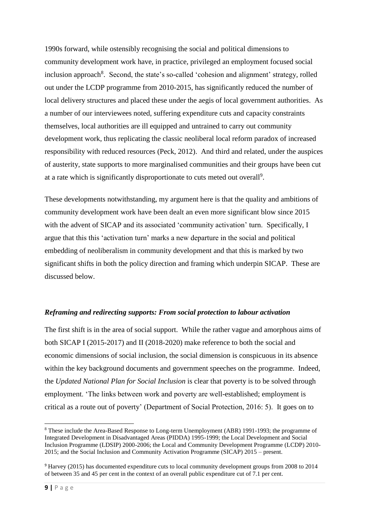1990s forward, while ostensibly recognising the social and political dimensions to community development work have, in practice, privileged an employment focused social inclusion approach<sup>8</sup>. Second, the state's so-called 'cohesion and alignment' strategy, rolled out under the LCDP programme from 2010-2015, has significantly reduced the number of local delivery structures and placed these under the aegis of local government authorities. As a number of our interviewees noted, suffering expenditure cuts and capacity constraints themselves, local authorities are ill equipped and untrained to carry out community development work, thus replicating the classic neoliberal local reform paradox of increased responsibility with reduced resources (Peck, 2012). And third and related, under the auspices of austerity, state supports to more marginalised communities and their groups have been cut at a rate which is significantly disproportionate to cuts meted out overall<sup>9</sup>.

These developments notwithstanding, my argument here is that the quality and ambitions of community development work have been dealt an even more significant blow since 2015 with the advent of SICAP and its associated 'community activation' turn. Specifically, I argue that this this 'activation turn' marks a new departure in the social and political embedding of neoliberalism in community development and that this is marked by two significant shifts in both the policy direction and framing which underpin SICAP. These are discussed below.

### *Reframing and redirecting supports: From social protection to labour activation*

The first shift is in the area of social support. While the rather vague and amorphous aims of both SICAP I (2015-2017) and II (2018-2020) make reference to both the social and economic dimensions of social inclusion, the social dimension is conspicuous in its absence within the key background documents and government speeches on the programme. Indeed, the *Updated National Plan for Social Inclusion* is clear that poverty is to be solved through employment. 'The links between work and poverty are well-established; employment is critical as a route out of poverty' (Department of Social Protection, 2016: 5). It goes on to

**.** 

<sup>8</sup> These include the Area-Based Response to Long-term Unemployment (ABR) 1991-1993; the programme of Integrated Development in Disadvantaged Areas (PIDDA) 1995-1999; the Local Development and Social Inclusion Programme (LDSIP) 2000-2006; the Local and Community Development Programme (LCDP) 2010- 2015; and the Social Inclusion and Community Activation Programme (SICAP) 2015 – present.

<sup>9</sup> Harvey (2015) has documented expenditure cuts to local community development groups from 2008 to 2014 of between 35 and 45 per cent in the context of an overall public expenditure cut of 7.1 per cent.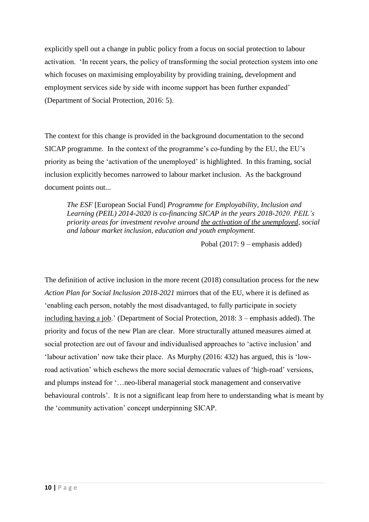explicitly spell out a change in public policy from a focus on social protection to labour activation. 'In recent years, the policy of transforming the social protection system into one which focuses on maximising employability by providing training, development and employment services side by side with income support has been further expanded' (Department of Social Protection, 2016: 5).

The context for this change is provided in the background documentation to the second SICAP programme. In the context of the programme's co-funding by the EU, the EU's priority as being the 'activation of the unemployed' is highlighted. In this framing, social inclusion explicitly becomes narrowed to labour market inclusion. As the background document points out...

*The ESF* [European Social Fund] *Programme for Employability, Inclusion and Learning (PEIL) 2014-2020 is co-financing SICAP in the years 2018-2020. PEIL's priority areas for investment revolve around the activation of the unemployed, social and labour market inclusion, education and youth employment.* 

Pobal (2017: 9 – emphasis added)

The definition of active inclusion in the more recent (2018) consultation process for the new *Action Plan for Social Inclusion 2018-2021* mirrors that of the EU, where it is defined as 'enabling each person, notably the most disadvantaged, to fully participate in society including having a job.' (Department of Social Protection, 2018: 3 – emphasis added). The priority and focus of the new Plan are clear. More structurally attuned measures aimed at social protection are out of favour and individualised approaches to 'active inclusion' and 'labour activation' now take their place. As Murphy (2016: 432) has argued, this is 'lowroad activation' which eschews the more social democratic values of 'high-road' versions, and plumps instead for '…neo-liberal managerial stock management and conservative behavioural controls'. It is not a significant leap from here to understanding what is meant by the 'community activation' concept underpinning SICAP.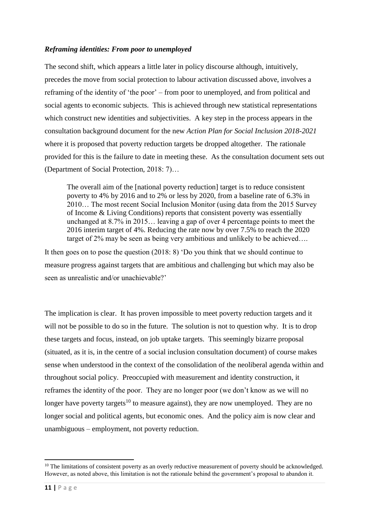#### *Reframing identities: From poor to unemployed*

The second shift, which appears a little later in policy discourse although, intuitively, precedes the move from social protection to labour activation discussed above, involves a reframing of the identity of 'the poor' – from poor to unemployed, and from political and social agents to economic subjects. This is achieved through new statistical representations which construct new identities and subjectivities. A key step in the process appears in the consultation background document for the new *Action Plan for Social Inclusion 2018-2021*  where it is proposed that poverty reduction targets be dropped altogether. The rationale provided for this is the failure to date in meeting these. As the consultation document sets out (Department of Social Protection, 2018: 7)…

The overall aim of the [national poverty reduction] target is to reduce consistent poverty to 4% by 2016 and to 2% or less by 2020, from a baseline rate of 6.3% in 2010… The most recent Social Inclusion Monitor (using data from the 2015 Survey of Income & Living Conditions) reports that consistent poverty was essentially unchanged at 8.7% in 2015… leaving a gap of over 4 percentage points to meet the 2016 interim target of 4%. Reducing the rate now by over 7.5% to reach the 2020 target of 2% may be seen as being very ambitious and unlikely to be achieved….

It then goes on to pose the question (2018: 8) 'Do you think that we should continue to measure progress against targets that are ambitious and challenging but which may also be seen as unrealistic and/or unachievable?'

The implication is clear. It has proven impossible to meet poverty reduction targets and it will not be possible to do so in the future. The solution is not to question why. It is to drop these targets and focus, instead, on job uptake targets. This seemingly bizarre proposal (situated, as it is, in the centre of a social inclusion consultation document) of course makes sense when understood in the context of the consolidation of the neoliberal agenda within and throughout social policy. Preoccupied with measurement and identity construction, it reframes the identity of the poor. They are no longer poor (we don't know as we will no longer have poverty targets<sup>10</sup> to measure against), they are now unemployed. They are no longer social and political agents, but economic ones. And the policy aim is now clear and unambiguous – employment, not poverty reduction.

**<sup>.</sup>** <sup>10</sup> The limitations of consistent poverty as an overly reductive measurement of poverty should be acknowledged. However, as noted above, this limitation is not the rationale behind the government's proposal to abandon it.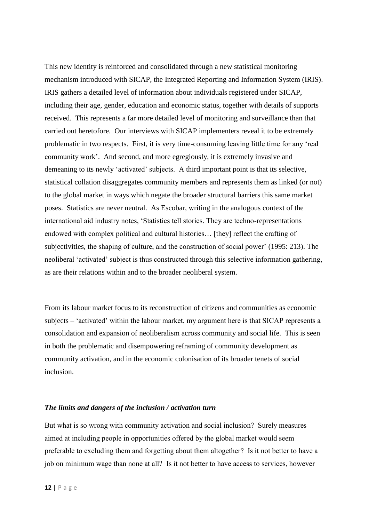This new identity is reinforced and consolidated through a new statistical monitoring mechanism introduced with SICAP, the Integrated Reporting and Information System (IRIS). IRIS gathers a detailed level of information about individuals registered under SICAP, including their age, gender, education and economic status, together with details of supports received. This represents a far more detailed level of monitoring and surveillance than that carried out heretofore. Our interviews with SICAP implementers reveal it to be extremely problematic in two respects. First, it is very time-consuming leaving little time for any 'real community work'. And second, and more egregiously, it is extremely invasive and demeaning to its newly 'activated' subjects. A third important point is that its selective, statistical collation disaggregates community members and represents them as linked (or not) to the global market in ways which negate the broader structural barriers this same market poses. Statistics are never neutral. As Escobar, writing in the analogous context of the international aid industry notes, 'Statistics tell stories. They are techno-representations endowed with complex political and cultural histories… [they] reflect the crafting of subjectivities, the shaping of culture, and the construction of social power' (1995: 213). The neoliberal 'activated' subject is thus constructed through this selective information gathering, as are their relations within and to the broader neoliberal system.

From its labour market focus to its reconstruction of citizens and communities as economic subjects – 'activated' within the labour market, my argument here is that SICAP represents a consolidation and expansion of neoliberalism across community and social life. This is seen in both the problematic and disempowering reframing of community development as community activation, and in the economic colonisation of its broader tenets of social inclusion.

#### *The limits and dangers of the inclusion / activation turn*

But what is so wrong with community activation and social inclusion? Surely measures aimed at including people in opportunities offered by the global market would seem preferable to excluding them and forgetting about them altogether? Is it not better to have a job on minimum wage than none at all? Is it not better to have access to services, however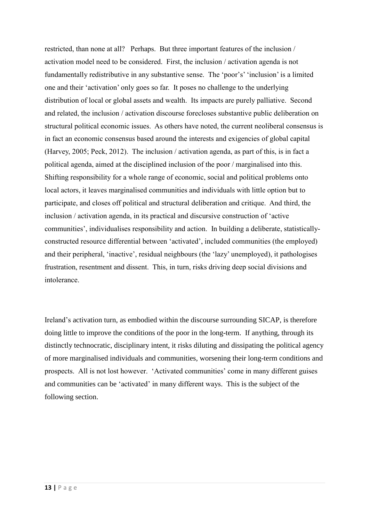restricted, than none at all? Perhaps. But three important features of the inclusion / activation model need to be considered. First, the inclusion / activation agenda is not fundamentally redistributive in any substantive sense. The 'poor's' 'inclusion' is a limited one and their 'activation' only goes so far. It poses no challenge to the underlying distribution of local or global assets and wealth. Its impacts are purely palliative. Second and related, the inclusion / activation discourse forecloses substantive public deliberation on structural political economic issues. As others have noted, the current neoliberal consensus is in fact an economic consensus based around the interests and exigencies of global capital (Harvey, 2005; Peck, 2012). The inclusion / activation agenda, as part of this, is in fact a political agenda, aimed at the disciplined inclusion of the poor / marginalised into this. Shifting responsibility for a whole range of economic, social and political problems onto local actors, it leaves marginalised communities and individuals with little option but to participate, and closes off political and structural deliberation and critique. And third, the inclusion / activation agenda, in its practical and discursive construction of 'active communities', individualises responsibility and action. In building a deliberate, statisticallyconstructed resource differential between 'activated', included communities (the employed) and their peripheral, 'inactive', residual neighbours (the 'lazy' unemployed), it pathologises frustration, resentment and dissent. This, in turn, risks driving deep social divisions and intolerance.

Ireland's activation turn, as embodied within the discourse surrounding SICAP, is therefore doing little to improve the conditions of the poor in the long-term. If anything, through its distinctly technocratic, disciplinary intent, it risks diluting and dissipating the political agency of more marginalised individuals and communities, worsening their long-term conditions and prospects. All is not lost however. 'Activated communities' come in many different guises and communities can be 'activated' in many different ways. This is the subject of the following section.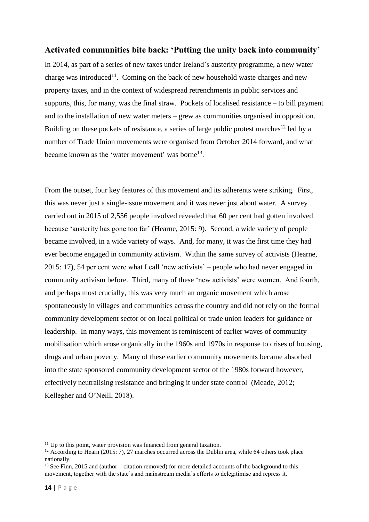#### **Activated communities bite back: 'Putting the unity back into community'**

In 2014, as part of a series of new taxes under Ireland's austerity programme, a new water charge was introduced<sup>11</sup>. Coming on the back of new household waste charges and new property taxes, and in the context of widespread retrenchments in public services and supports, this, for many, was the final straw. Pockets of localised resistance – to bill payment and to the installation of new water meters – grew as communities organised in opposition. Building on these pockets of resistance, a series of large public protest marches $^{12}$  led by a number of Trade Union movements were organised from October 2014 forward, and what became known as the 'water movement' was borne<sup>13</sup>.

From the outset, four key features of this movement and its adherents were striking. First, this was never just a single-issue movement and it was never just about water. A survey carried out in 2015 of 2,556 people involved revealed that 60 per cent had gotten involved because 'austerity has gone too far' (Hearne, 2015: 9). Second, a wide variety of people became involved, in a wide variety of ways. And, for many, it was the first time they had ever become engaged in community activism. Within the same survey of activists (Hearne, 2015: 17), 54 per cent were what I call 'new activists' – people who had never engaged in community activism before. Third, many of these 'new activists' were women. And fourth, and perhaps most crucially, this was very much an organic movement which arose spontaneously in villages and communities across the country and did not rely on the formal community development sector or on local political or trade union leaders for guidance or leadership. In many ways, this movement is reminiscent of earlier waves of community mobilisation which arose organically in the 1960s and 1970s in response to crises of housing, drugs and urban poverty. Many of these earlier community movements became absorbed into the state sponsored community development sector of the 1980s forward however, effectively neutralising resistance and bringing it under state control (Meade, 2012; Kellegher and O'Neill, 2018).

1

 $11$  Up to this point, water provision was financed from general taxation.

<sup>&</sup>lt;sup>12</sup> According to Hearn (2015: 7), 27 marches occurred across the Dublin area, while 64 others took place nationally.

<sup>&</sup>lt;sup>13</sup> See Finn, 2015 and (author – citation removed) for more detailed accounts of the background to this movement, together with the state's and mainstream media's efforts to delegitimise and repress it.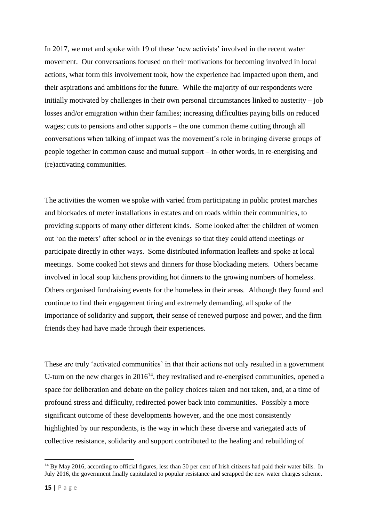In 2017, we met and spoke with 19 of these 'new activists' involved in the recent water movement. Our conversations focused on their motivations for becoming involved in local actions, what form this involvement took, how the experience had impacted upon them, and their aspirations and ambitions for the future. While the majority of our respondents were initially motivated by challenges in their own personal circumstances linked to austerity – job losses and/or emigration within their families; increasing difficulties paying bills on reduced wages; cuts to pensions and other supports – the one common theme cutting through all conversations when talking of impact was the movement's role in bringing diverse groups of people together in common cause and mutual support – in other words, in re-energising and (re)activating communities.

The activities the women we spoke with varied from participating in public protest marches and blockades of meter installations in estates and on roads within their communities, to providing supports of many other different kinds. Some looked after the children of women out 'on the meters' after school or in the evenings so that they could attend meetings or participate directly in other ways. Some distributed information leaflets and spoke at local meetings. Some cooked hot stews and dinners for those blockading meters. Others became involved in local soup kitchens providing hot dinners to the growing numbers of homeless. Others organised fundraising events for the homeless in their areas. Although they found and continue to find their engagement tiring and extremely demanding, all spoke of the importance of solidarity and support, their sense of renewed purpose and power, and the firm friends they had have made through their experiences.

These are truly 'activated communities' in that their actions not only resulted in a government U-turn on the new charges in  $2016^{14}$ , they revitalised and re-energised communities, opened a space for deliberation and debate on the policy choices taken and not taken, and, at a time of profound stress and difficulty, redirected power back into communities. Possibly a more significant outcome of these developments however, and the one most consistently highlighted by our respondents, is the way in which these diverse and variegated acts of collective resistance, solidarity and support contributed to the healing and rebuilding of

**.** 

 $14$  By May 2016, according to official figures, less than 50 per cent of Irish citizens had paid their water bills. In July 2016, the government finally capitulated to popular resistance and scrapped the new water charges scheme.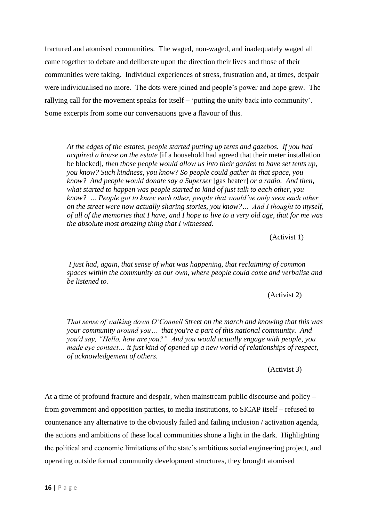fractured and atomised communities. The waged, non-waged, and inadequately waged all came together to debate and deliberate upon the direction their lives and those of their communities were taking. Individual experiences of stress, frustration and, at times, despair were individualised no more. The dots were joined and people's power and hope grew. The rallying call for the movement speaks for itself – 'putting the unity back into community'. Some excerpts from some our conversations give a flavour of this.

*At the edges of the estates, people started putting up tents and gazebos. If you had acquired a house on the estate* [if a household had agreed that their meter installation be blocked]*, then those people would allow us into their garden to have set tents up, you know? Such kindness, you know? So people could gather in that space, you know? And people would donate say a Superser* [gas heater] *or a radio. And then, what started to happen was people started to kind of just talk to each other, you know? … People got to know each other, people that would've only seen each other on the street were now actually sharing stories, you know?… And I thought to myself, of all of the memories that I have, and I hope to live to a very old age, that for me was the absolute most amazing thing that I witnessed.* 

(Activist 1)

*I just had, again, that sense of what was happening, that reclaiming of common spaces within the community as our own, where people could come and verbalise and be listened to.* 

(Activist 2)

*That sense of walking down O'Connell Street on the march and knowing that this was your community around you… that you're a part of this national community. And you'd say, "Hello, how are you?" And you would actually engage with people, you made eye contact… it just kind of opened up a new world of relationships of respect, of acknowledgement of others.* 

(Activist 3)

At a time of profound fracture and despair, when mainstream public discourse and policy – from government and opposition parties, to media institutions, to SICAP itself – refused to countenance any alternative to the obviously failed and failing inclusion / activation agenda, the actions and ambitions of these local communities shone a light in the dark. Highlighting the political and economic limitations of the state's ambitious social engineering project, and operating outside formal community development structures, they brought atomised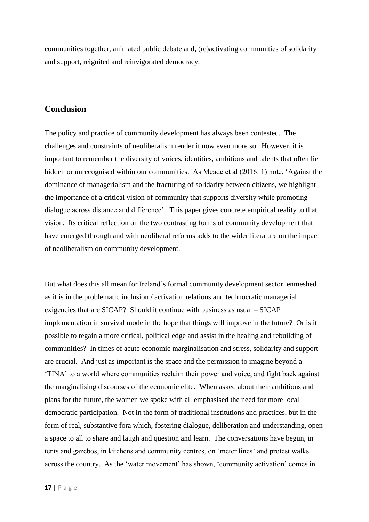communities together, animated public debate and, (re)activating communities of solidarity and support, reignited and reinvigorated democracy.

## **Conclusion**

The policy and practice of community development has always been contested. The challenges and constraints of neoliberalism render it now even more so. However, it is important to remember the diversity of voices, identities, ambitions and talents that often lie hidden or unrecognised within our communities. As Meade et al (2016: 1) note, 'Against the dominance of managerialism and the fracturing of solidarity between citizens, we highlight the importance of a critical vision of community that supports diversity while promoting dialogue across distance and difference'*.* This paper gives concrete empirical reality to that vision. Its critical reflection on the two contrasting forms of community development that have emerged through and with neoliberal reforms adds to the wider literature on the impact of neoliberalism on community development.

But what does this all mean for Ireland's formal community development sector, enmeshed as it is in the problematic inclusion / activation relations and technocratic managerial exigencies that are SICAP? Should it continue with business as usual – SICAP implementation in survival mode in the hope that things will improve in the future? Or is it possible to regain a more critical, political edge and assist in the healing and rebuilding of communities? In times of acute economic marginalisation and stress, solidarity and support are crucial. And just as important is the space and the permission to imagine beyond a 'TINA' to a world where communities reclaim their power and voice, and fight back against the marginalising discourses of the economic elite. When asked about their ambitions and plans for the future, the women we spoke with all emphasised the need for more local democratic participation. Not in the form of traditional institutions and practices, but in the form of real, substantive fora which, fostering dialogue, deliberation and understanding, open a space to all to share and laugh and question and learn. The conversations have begun, in tents and gazebos, in kitchens and community centres, on 'meter lines' and protest walks across the country. As the 'water movement' has shown, 'community activation' comes in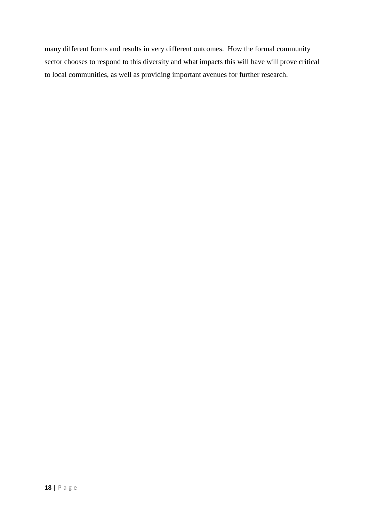many different forms and results in very different outcomes. How the formal community sector chooses to respond to this diversity and what impacts this will have will prove critical to local communities, as well as providing important avenues for further research.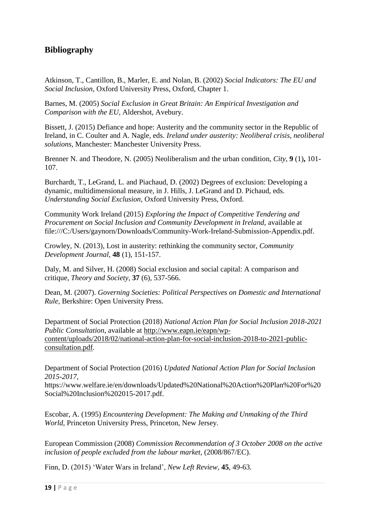# **Bibliography**

Atkinson, T., Cantillon, B., Marler, E. and Nolan, B. (2002) *Social Indicators: The EU and Social Inclusion,* Oxford University Press, Oxford, Chapter 1.

Barnes, M. (2005) *Social Exclusion in Great Britain: An Empirical Investigation and Comparison with the EU,* Aldershot, Avebury.

Bissett, J. (2015) Defiance and hope: Austerity and the community sector in the Republic of Ireland, in C. Coulter and A. Nagle, eds. *Ireland under austerity: Neoliberal crisis, neoliberal solutions,* Manchester: Manchester University Press.

Brenner N. and Theodore, N. (2005) Neoliberalism and the urban condition, *City,* **9** (1)**,** 101- 107.

Burchardt, T., LeGrand, L. and Piachaud, D. (2002) Degrees of exclusion: Developing a dynamic, multidimensional measure, in J. Hills, J. LeGrand and D. Pichaud, eds. *Understanding Social Exclusion,* Oxford University Press, Oxford.

Community Work Ireland (2015) *Exploring the Impact of Competitive Tendering and Procurement on Social Inclusion and Community Development in Ireland,* available at [file:///C:/Users/gaynorn/Downloads/Community-Work-Ireland-Submission-Appendix.pdf.](file:///C:/Users/gaynorn/Downloads/Community-Work-Ireland-Submission-Appendix.pdf)

Crowley, N. (2013), Lost in austerity: rethinking the community sector, *Community Development Journal,* **48** (1), 151-157.

Daly, M. and Silver, H. (2008) Social exclusion and social capital: A comparison and critique, *Theory and Society,* **37** (6), 537-566.

Dean, M. (2007). *Governing Societies: Political Perspectives on Domestic and International Rule,* Berkshire: Open University Press.

Department of Social Protection (2018) *National Action Plan for Social Inclusion 2018-2021 Public Consultation*, available at [http://www.eapn.ie/eapn/wp](http://www.eapn.ie/eapn/wp-content/uploads/2018/02/national-action-plan-for-social-inclusion-2018-to-2021-public-consultation.pdf)[content/uploads/2018/02/national-action-plan-for-social-inclusion-2018-to-2021-public](http://www.eapn.ie/eapn/wp-content/uploads/2018/02/national-action-plan-for-social-inclusion-2018-to-2021-public-consultation.pdf)[consultation.pdf.](http://www.eapn.ie/eapn/wp-content/uploads/2018/02/national-action-plan-for-social-inclusion-2018-to-2021-public-consultation.pdf)

Department of Social Protection (2016) *Updated National Action Plan for Social Inclusion 2015-2017,* 

[https://www.welfare.ie/en/downloads/Updated%20National%20Action%20Plan%20For%20](https://www.welfare.ie/en/downloads/Updated%20National%20Action%20Plan%20For%20Social%20Inclusion%202015-2017.pdf) [Social%20Inclusion%202015-2017.pdf.](https://www.welfare.ie/en/downloads/Updated%20National%20Action%20Plan%20For%20Social%20Inclusion%202015-2017.pdf)

Escobar, A. (1995) *Encountering Development: The Making and Unmaking of the Third World,* Princeton University Press, Princeton, New Jersey.

European Commission (2008) *Commission Recommendation of 3 October 2008 on the active inclusion of people excluded from the labour market,* (2008/867/EC).

Finn, D. (2015) 'Water Wars in Ireland', *New Left Review*, **45**, 49-63.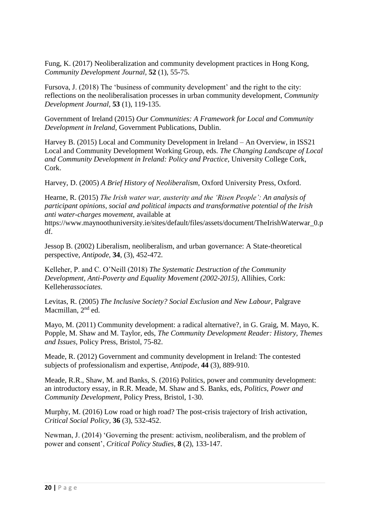Fung, K. (2017) Neoliberalization and community development practices in Hong Kong, *Community Development Journal,* **52** (1), 55-75.

Fursova, J. (2018) The 'business of community development' and the right to the city: reflections on the neoliberalisation processes in urban community development, *Community Development Journal,* **53** (1), 119-135.

Government of Ireland (2015) *Our Communities: A Framework for Local and Community Development in Ireland,* Government Publications, Dublin.

Harvey B. (2015) Local and Community Development in Ireland – An Overview, in ISS21 Local and Community Development Working Group, eds. *The Changing Landscape of Local and Community Development in Ireland: Policy and Practice,* University College Cork, Cork.

Harvey, D. (2005) *A Brief History of Neoliberalism,* Oxford University Press, Oxford.

Hearne, R. (2015) *The Irish water war, austerity and the 'Risen People': An analysis of participant opinions, social and political impacts and transformative potential of the Irish anti water-charges movement,* available at

[https://www.maynoothuniversity.ie/sites/default/files/assets/document/TheIrishWaterwar\\_0.p](https://www.maynoothuniversity.ie/sites/default/files/assets/document/TheIrishWaterwar_0.pdf) [df.](https://www.maynoothuniversity.ie/sites/default/files/assets/document/TheIrishWaterwar_0.pdf)

Jessop B. (2002) Liberalism, neoliberalism, and urban governance: A State-theoretical perspective, *Antipode,* **34**, (3), 452-472.

Kelleher, P. and C. O'Neill (2018) *The Systematic Destruction of the Community Development, Anti-Poverty and Equality Movement (2002-2015)*, Allihies, Cork: Kelleher*associates.*

Levitas, R. (2005) *The Inclusive Society? Social Exclusion and New Labour*, Palgrave Macmillan, 2<sup>nd</sup> ed.

Mayo, M. (2011) Community development: a radical alternative?, in G. Graig, M. Mayo, K. Popple, M. Shaw and M. Taylor, eds, *The Community Development Reader: History, Themes and Issues,* Policy Press, Bristol, 75-82.

Meade, R. (2012) Government and community development in Ireland: The contested subjects of professionalism and expertise, *Antipode,* **44** (3), 889-910.

Meade, R.R., Shaw, M. and Banks, S. (2016) Politics, power and community development: an introductory essay, in R.R. Meade, M. Shaw and S. Banks, eds, *Politics, Power and Community Development,* Policy Press, Bristol, 1-30.

Murphy, M. (2016) Low road or high road? The post-crisis trajectory of Irish activation, *Critical Social Policy,* **36** (3), 532-452.

Newman, J. (2014) 'Governing the present: activism, neoliberalism, and the problem of power and consent', *Critical Policy Studies,* **8** (2), 133-147.